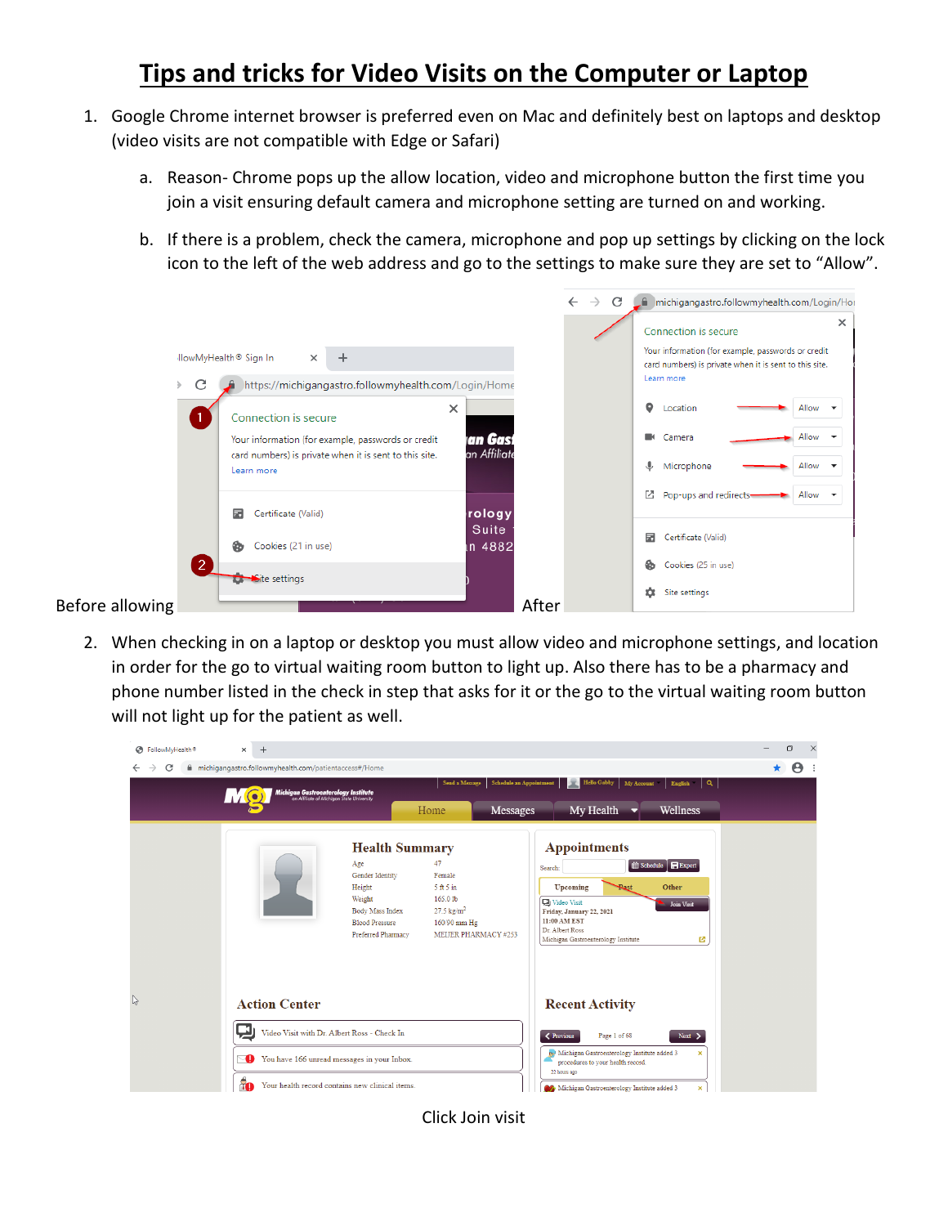## **Tips and tricks for Video Visits on the Computer or Laptop**

- 1. Google Chrome internet browser is preferred even on Mac and definitely best on laptops and desktop (video visits are not compatible with Edge or Safari)
	- a. Reason- Chrome pops up the allow location, video and microphone button the first time you join a visit ensuring default camera and microphone setting are turned on and working.
	- b. If there is a problem, check the camera, microphone and pop up settings by clicking on the lock icon to the left of the web address and go to the settings to make sure they are set to "Allow".



2. When checking in on a laptop or desktop you must allow video and microphone settings, and location in order for the go to virtual waiting room button to light up. Also there has to be a pharmacy and phone number listed in the check in step that asks for it or the go to the virtual waiting room button will not light up for the patient as well.



Click Join visit